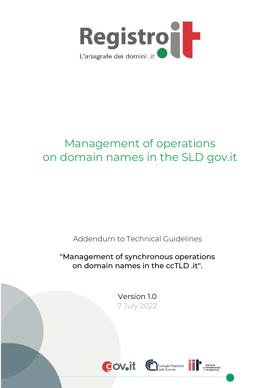

# Management of operations on domain names in the SLD gov.it

Addendum to Technical Guidelines

"Management of synchronous operations on domain names in the ccTLD .it".

> Version 1.0 7 July 2022





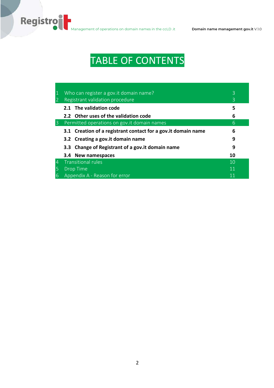# TABLE OF CONTENTS

|                | Who can register a gov. it domain name?<br>Registrant validation procedure | 3<br>$\mathcal{B}$ |
|----------------|----------------------------------------------------------------------------|--------------------|
|                | 2.1 The validation code                                                    | 5                  |
|                | 2.2 Other uses of the validation code                                      | 6                  |
| 3              | Permitted operations on gov. it domain names                               | 6                  |
|                | 3.1 Creation of a registrant contact for a gov. it domain name             | 6                  |
|                | 3.2 Creating a gov. it domain name                                         | 9                  |
|                | 3.3 Change of Registrant of a gov. it domain name                          | 9                  |
|                | 3.4 New namespaces                                                         | 10                 |
| $\overline{4}$ | <b>Transitional rules</b>                                                  | 10                 |
|                | <b>Drop Time</b>                                                           | 11                 |
| 6              | Appendix A - Reason for error                                              |                    |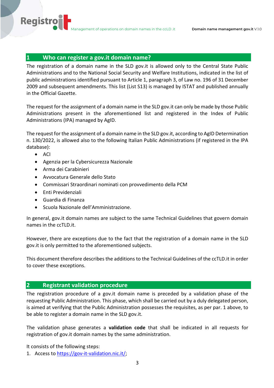# **1 Who can register a gov.it domain name?**

The registration of a domain name in the SLD gov.it is allowed only to the Central State Public Administrations and to the National Social Security and Welfare Institutions, indicated in the list of public administrations identified pursuant to Article 1, paragraph 3, of Law no. 196 of 31 December 2009 and subsequent amendments. This list (List S13) is managed by ISTAT and published annually in the Official Gazette.

The request for the assignment of a domain name in the SLD gov.it can only be made by those Public Administrations present in the aforementioned list and registered in the Index of Public Administrations (IPA) managed by AgID.

The request for the assignment of a domain name in the SLD gov.it, according to AgID Determination n. 130/2022, is allowed also to the following Italian Public Administrations (if registered in the IPA database):

• ACI

**Registro** 

- Agenzia per la Cybersicurezza Nazionale
- Arma dei Carabinieri
- Avvocatura Generale dello Stato
- Commissari Straordinari nominati con provvedimento della PCM
- Enti Previdenziali
- Guardia di Finanza
- Scuola Nazionale dell'Amministrazione.

In general, gov.it domain names are subject to the same Technical Guidelines that govern domain names in the ccTLD.it.

However, there are exceptions due to the fact that the registration of a domain name in the SLD gov.it is only permitted to the aforementioned subjects.

This document therefore describes the additions to the Technical Guidelines of the ccTLD.it in order to cover these exceptions.

#### **2 Registrant validation procedure**

The registration procedure of a gov.it domain name is preceded by a validation phase of the requesting Public Administration. This phase, which shall be carried out by a duly delegated person, is aimed at verifying that the Public Administration possesses the requisites, as per par. 1 above, to be able to register a domain name in the SLD gov.it.

The validation phase generates a **validation code** that shall be indicated in all requests for registration of gov.it domain names by the same administration.

It consists of the following steps:

1. Access to https://gov-it-validation.nic.it/;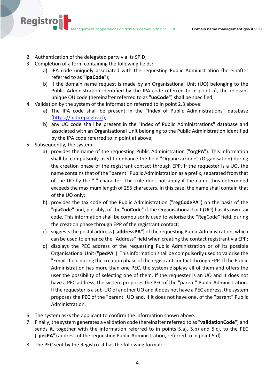- 2. Authentication of the delegated party via its SPID;
- 3. Completion of a form containing the following fields:
	- a) IPA code uniquely associated with the requesting Public Administration (hereinafter referred to as "**ipaCode**");
	- b) if the domain name request is made by an Organisational Unit (UO) belonging to the Public Administration identified by the IPA code referred to in point a), the relevant unique OU code (hereinafter referred to as "**uoCode**") shall be specified;
- 4. Validation by the system of the information referred to in point 2.3 above:
	- a) The IPA code shall be present in the "Index of Public Administrations" database (https://indicepa.gov.it);
	- b) any UO code shall be present in the "Index of Public Administrations" database and associated with an Organisational Unit belonging to the Public Administration identified by the IPA code referred to in point a) above;
- 5. Subsequently, the system:

**Registro** 

- a) provides the name of the requesting Public Administration ("**orgPA**"). This information shall be compulsorily used to enhance the field "Organizzazione" (Organisation) during the creation phase of the registrant contact through EPP. If the requester is a UO, the name contains that of the "parent" Public Administration as a prefix, separated from that of the UO by the "-" character. This rule does not apply if the name thus determined exceeds the maximum length of 255 characters. In this case, the name shall contain that of the UO only;
- b) provides the tax code of the Public Administration ("**regCodePA**") on the basis of the "**ipaCode**" and, possibly, of the "**uoCode**" if the Organisational Unit (UO) has its own tax code. This information shall be compulsorily used to valorise the "RegCode" field, during the creation phase through EPP of the registrant contact;
- c) suggests the postal address ("**addressPA**") of the requesting Public Administration, which can be used to enhance the "Address" field when creating the contact registrant via EPP;
- d) displays the PEC address of the requesting Public Administration or of its possible Organisational Unit ("**pecPA**"). This information shall be compulsorily used to valorise the "Email" field during the creation phase of the registrant contact through EPP. If the Public Administration has more than one PEC, the system displays all of them and offers the user the possibility of selecting one of them. If the requester is an UO and it does not have a PEC address, the system proposes the PEC of the "parent" Public Administration. If the requester is a sub-UO of another UO and it does not have a PEC address, the system proposes the PEC of the "parent" UO and, if it does not have one, of the "parent" Public Administration.
- 6. The system asks the applicant to confirm the information shown above.
- 7. Finally, the system generates a validation code (hereinafter referred to as "**validationCode**") and sends it, together with the information referred to in points 5.a), 5.b) and 5.c), to the PEC ("**pecPA**") address of the requesting Public Administration, referred to in point 5.d).
- 8. The PEC sent by the Registro .it has the following format: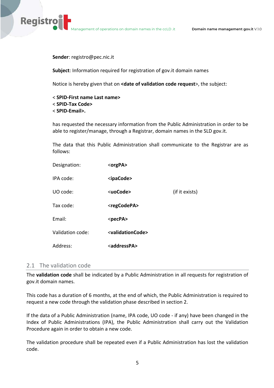**Sender**: registro@pec.nic.it

**Registro** 

**Subject**: Information required for registration of gov.it domain names

Notice is hereby given that on **<date of validation code request**>, the subject:

< **SPID-First name Last name>** < **SPID-Tax Code>** < **SPID-Email>.**

has requested the necessary information from the Public Administration in order to be able to register/manage, through a Registrar, domain names in the SLD gov.it.

The data that this Public Administration shall communicate to the Registrar are as follows:

| Designation:     | $<$ orgPA $>$                     |                |
|------------------|-----------------------------------|----------------|
| IPA code:        | <ipacode></ipacode>               |                |
| UO code:         | <uocode></uocode>                 | (if it exists) |
| Tax code:        | <regcodepa></regcodepa>           |                |
| Email:           | <pecpa></pecpa>                   |                |
| Validation code: | <validationcode></validationcode> |                |
| Address:         | <addresspa></addresspa>           |                |

## 2.1 The validation code

The **validation code** shall be indicated by a Public Administration in all requests for registration of gov.it domain names.

This code has a duration of 6 months, at the end of which, the Public Administration is required to request a new code through the validation phase described in section 2.

If the data of a Public Administration (name, IPA code, UO code - if any) have been changed in the Index of Public Administrations (IPA), the Public Administration shall carry out the Validation Procedure again in order to obtain a new code.

The validation procedure shall be repeated even if a Public Administration has lost the validation code.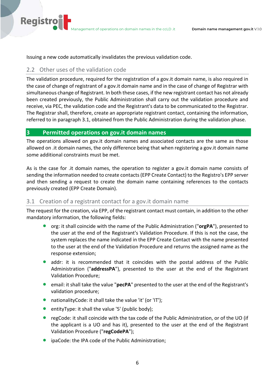Issuing a new code automatically invalidates the previous validation code.

# 2.2 Other uses of the validation code

**Registro** 

The validation procedure, required for the registration of a gov.it domain name, is also required in the case of change of registrant of a gov.it domain name and in the case of change of Registrar with simultaneous change of Registrant. In both these cases, if the new registrant contact has not already been created previously, the Public Administration shall carry out the validation procedure and receive, via PEC, the validation code and the Registrant's data to be communicated to the Registrar. The Registrar shall, therefore, create an appropriate registrant contact, containing the information, referred to in paragraph 3.1, obtained from the Public Administration during the validation phase.

# **3 Permitted operations on gov.it domain names**

The operations allowed on gov.it domain names and associated contacts are the same as those allowed on .it domain names, the only difference being that when registering a gov.it domain name some additional constraints must be met.

As is the case for .it domain names, the operation to register a gov.it domain name consists of sending the information needed to create contacts (EPP Create Contact) to the Registro's EPP server and then sending a request to create the domain name containing references to the contacts previously created (EPP Create Domain).

# 3.1 Creation of a registrant contact for a gov.it domain name

The request for the creation, via EPP, of the registrant contact must contain, in addition to the other mandatory information, the following fields:

- org: it shall coincide with the name of the Public Administration ("**orgPA**"), presented to the user at the end of the Registrant's Validation Procedure. If this is not the case, the system replaces the name indicated in the EPP Create Contact with the name presented to the user at the end of the Validation Procedure and returns the assigned name as the response extension;
- addr: it is recommended that it coincides with the postal address of the Public Administration ("**addressPA**"), presented to the user at the end of the Registrant Validation Procedure;
- email: it shall take the value "**pecPA**" presented to the user at the end of the Registrant's validation procedure;
- nationalityCode: it shall take the value 'it' (or 'IT');
- entityType: it shall the value '5' (public body);
- regCode: it shall coincide with the tax code of the Public Administration, or of the UO (if the applicant is a UO and has it), presented to the user at the end of the Registrant Validation Procedure ("**regCodePA**");
- ipaCode: the IPA code of the Public Administration: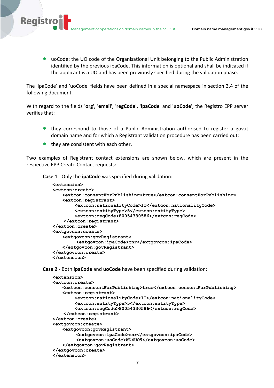• uoCode: the UO code of the Organisational Unit belonging to the Public Administration identified by the previous ipaCode. This information is optional and shall be indicated if the applicant is a UO and has been previously specified during the validation phase.

The 'ipaCode' and 'uoCode' fields have been defined in a special namespace in section 3.4 of the following document.

With regard to the fields '**org**', '**email**', '**regCode',** '**ipaCode**' and '**uoCode**', the Registro EPP server verifies that:

- they correspond to those of a Public Administration authorised to register a gov.it domain name and for which a Registrant validation procedure has been carried out;
- they are consistent with each other.

**Registro** 

Two examples of Registrant contact extensions are shown below, which are present in the respective EPP Create Contact requests:

**Case 1** - Only the **ipaCode** was specified during validation:

```
<extension>
<extcon:create>
   <extcon:consentForPublishing>true</extcon:consentForPublishing>
   <extcon:registrant>
         <extcon:nationalityCode>IT</extcon:nationalityCode>
         <extcon:entityType>5</extcon:entityType>
         <extcon:regCode>80054330586</extcon:regCode>
     </extcon:registrant>
</extcon:create>
<extgovcon:create>
   <extgovcon:govRegistrant>
         <extgovcon:ipaCode>cnr</extgovcon:ipaCode>
   </extgovcon:govRegistrant>
</extgovcon:create>
</extension>
```
**Case 2** - Both **ipaCode** and **uoCode** have been specified during validation:

```
<extension>
<extcon:create>
   <extcon:consentForPublishing>true</extcon:consentForPublishing>
   <extcon:registrant>
         <extcon:nationalityCode>IT</extcon:nationalityCode>
         <extcon:entityType>5</extcon:entityType>
         <extcon:regCode>80054330586</extcon:regCode>
     </extcon:registrant>
</extcon:create>
<extgovcon:create>
   <extgovcon:govRegistrant>
         <extgovcon:ipaCode>cnr</extgovcon:ipaCode>
         <extgovcon:uoCode>WD4UO9</extgovcon:uoCode>
   </extgovcon:govRegistrant>
</extgovcon:create>
</extension>
```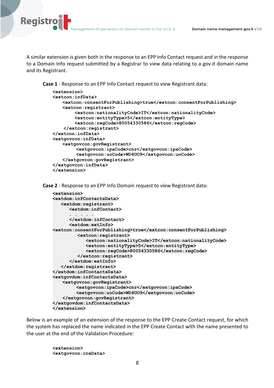**Registro** 

A similar extension is given both in the response to an EPP Info Contact request and in the response to a Domain Info request submitted by a Registrar to view data relating to a gov.it domain name and its Registrant.

**Case 1** - Response to an EPP Info Contact request to view Registrant data:

```
<extension>
<extcon:infData>
   <extcon:consentForPublishing>true</extcon:consentForPublishing>
   <extcon:registrant>
         <extcon:nationalityCode>IT</extcon:nationalityCode>
         <extcon:entityType>5</extcon:entityType>
         <extcon:regCode>80054330586</extcon:regCode>
     </extcon:registrant>
</extcon:infData>
<extgovcon:infData>
   <extgovcon:govRegistrant>
         <extgovcon:ipaCode>cnr</extgovcon:ipaCode>
         <extgovcon:uoCode>WD4UO9</extgovcon:uoCode>
   </extgovcon:govRegistrant>
</extgovcon:infData>
</extension>
```
**Case 2** - Response to an EPP Info Domain request to view Registrant data:

```
<extension>
<extdom:infContactsData>
    <extdom:registrant>
       <extdom:infContact> 
       . . . . .
       </extdom:infContact> 
       <extdom:extInfo> 
<extcon:consentForPublishing>true</extcon:consentForPublishing>
          <extcon:registrant>
             <extcon:nationalityCode>IT</extcon:nationalityCode>
             <extcon:entityType>5</extcon:entityType>
             <extcon:regCode>80054330586</extcon:regCode>
          </extcon:registrant>
       </extdom:extInfo> 
    </extdom:registrant>
</extdom:infContactsData>
<extgovdom:infContactsData>
   <extgovcon:govRegistrant>
         <extgovcon:ipaCode>cnr</extgovcon:ipaCode>
         <extgovcon:uoCode>WD4UO9</extgovcon:uoCode>
   </extgovcon:govRegistrant>
</extgovdom:infContactsData>
</extension>
```
Below is an example of an extension of the response to the EPP Create Contact request, for which the system has replaced the name indicated in the EPP Create Contact with the name presented to the user at the end of the Validation Procedure:

> **<extension> <extgovcon:creData>**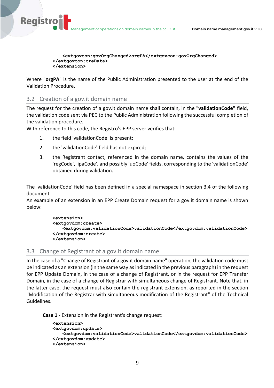**<extgovcon:govOrgChanged>orgPA</extgovcon:govOrgChanged> </extgovcon:creData> </extension>**

Where "**orgPA**" is the name of the Public Administration presented to the user at the end of the Validation Procedure.

# 3.2 Creation of a gov.it domain name

**Registro** 

The request for the creation of a gov.it domain name shall contain, in the "**validationCode"** field, the validation code sent via PEC to the Public Administration following the successful completion of the validation procedure.

With reference to this code, the Registro's EPP server verifies that:

- 1. the field 'validationCode' is present;
- 2. the 'validationCode' field has not expired;
- 3. the Registrant contact, referenced in the domain name, contains the values of the 'regCode', 'ipaCode', and possibly 'uoCode' fields, corresponding to the 'validationCode' obtained during validation.

The 'validationCode' field has been defined in a special namespace in section 3.4 of the following document.

An example of an extension in an EPP Create Domain request for a gov.it domain name is shown below:

```
<extension>
<extgovdom:create>
   <extgovdom:validationCode>validationCode</extgovdom:validationCode>
</extgovdom:create>
</extension>
```
#### 3.3 Change of Registrant of a gov.it domain name

In the case of a "Change of Registrant of a gov.it domain name" operation, the validation code must be indicated as an extension (in the same way as indicated in the previous paragraph) in the request for EPP Update Domain, in the case of a change of Registrant, or in the request for EPP Transfer Domain, in the case of a change of Registrar with simultaneous change of Registrant. Note that, in the latter case, the request must also contain the registrant extension, as reported in the section "Modification of the Registrar with simultaneous modification of the Registrant" of the Technical Guidelines.

**Case 1** - Extension in the Registrant's change request:

```
<extension>
<extgovdom:update>
   <extgovdom:validationCode>validationCode</extgovdom:validationCode>
</extgovdom:update>
</extension>
```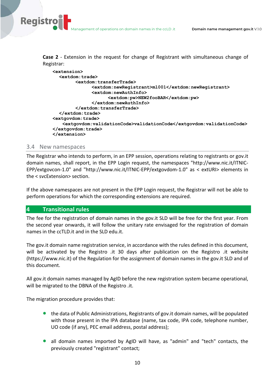**Case 2** - Extension in the request for change of Registrant with simultaneous change of Registrar:

| <extension></extension>                                                                                                                                                                                                                                                                                            |  |
|--------------------------------------------------------------------------------------------------------------------------------------------------------------------------------------------------------------------------------------------------------------------------------------------------------------------|--|
| <extdom:trade></extdom:trade>                                                                                                                                                                                                                                                                                      |  |
| <extdom:transfertrade></extdom:transfertrade>                                                                                                                                                                                                                                                                      |  |
| <extdom:newregistrant>m1001</extdom:newregistrant>                                                                                                                                                                                                                                                                 |  |
| $\text{&}$ $\text{&}$ $\text{&}$ $\text{&}$ $\text{&}$ $\text{&}$ $\text{&}$ $\text{&}$ $\text{&}$ $\text{&}$ $\text{&}$ $\text{&}$ $\text{&}$ $\text{&}$ $\text{&}$ $\text{&}$ $\text{&}$ $\text{&}$ $\text{&}$ $\text{&}$ $\text{&}$ $\text{&}$ $\text{&}$ $\text{&}$ $\text{&}$ $\text{&}$ $\text{&}$ $\text{&$ |  |
| <extdom:pw>NEW2fooBAR</extdom:pw>                                                                                                                                                                                                                                                                                  |  |
|                                                                                                                                                                                                                                                                                                                    |  |
| $\langle$ /extdom:transferTrade>                                                                                                                                                                                                                                                                                   |  |
| $\langle$ /extdom:trade>                                                                                                                                                                                                                                                                                           |  |
| <extgovdom:trade></extgovdom:trade>                                                                                                                                                                                                                                                                                |  |
| <extgovdom:validationcode>validationCode</extgovdom:validationcode>                                                                                                                                                                                                                                                |  |
| $\langle$ /extgovdom:trade>                                                                                                                                                                                                                                                                                        |  |
|                                                                                                                                                                                                                                                                                                                    |  |

#### 3.4 New namespaces

**Registro** 

The Registrar who intends to perform, in an EPP session, operations relating to registrants or gov.it domain names, shall report, in the EPP Login request, the namespaces "http://www.nic.it/ITNIC-EPP/extgovcon-1.0" and "http://www.nic.it/ITNIC-EPP/extgovdom-1.0" as < extURI> elements in the < svcExtension> section.

If the above namespaces are not present in the EPP Login request, the Registrar will not be able to perform operations for which the corresponding extensions are required.

## **4 Transitional rules**

The fee for the registration of domain names in the gov.it SLD will be free for the first year. From the second year onwards, it will follow the unitary rate envisaged for the registration of domain names in the ccTLD.it and in the SLD edu.it.

The gov.it domain name registration service, in accordance with the rules defined in this document, will be activated by the Registro .it 30 days after publication on the Registro .it website (https://www.nic.it) of the Regulation for the assignment of domain names in the gov.it SLD and of this document.

All gov.it domain names managed by AgID before the new registration system became operational, will be migrated to the DBNA of the Registro .it.

The migration procedure provides that:

- the data of Public Administrations, Registrants of gov.it domain names, will be populated with those present in the IPA database (name, tax code, IPA code, telephone number, UO code (if any), PEC email address, postal address);
- all domain names imported by AgID will have, as "admin" and "tech" contacts, the previously created "registrant" contact;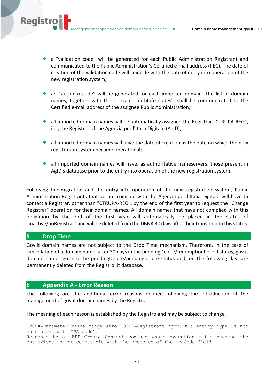Management of operations on domain names in the ccLD .it **Domain name management gov.it** V.1.0

- a "validation code" will be generated for each Public Administration Registrant and communicated to the Public Administration's Certified e-mail address (PEC). The date of creation of the validation code will coincide with the date of entry into operation of the new registration system;
- an "authInfo code" will be generated for each imported domain. The list of domain names, together with the relevant "authInfo codes", shall be communicated to the Certified e-mail address of the assignee Public Administration;
- all imported domain names will be automatically assigned the Registrar "CTRUPA-REG", i.e., the Registrar of the Agenzia per l'Italia Digitale (AgID);
- all imported domain names will have the date of creation as the date on which the new registration system became operational;
- all imported domain names will have, as authoritative nameservers, those present in AgID's database prior to the entry into operation of the new registration system.

Following the migration and the entry into operation of the new registration system, Public Administration Registrants that do not coincide with the Agenzia per l'Italia Digitale will have to contact a Registrar, other than "CTRUPA-REG", by the end of the first year to request the "Change Registrar" operation for their domain names. All domain names that have not complied with this obligation by the end of the first year will automatically be placed in the status of "inactive/noRegistrar" and will be deleted from the DBNA 30 days after their transition to this status.

## **5 Drop Time**

**Registro** 

Gov.it domain names are not subject to the Drop Time mechanism. Therefore, in the case of cancellation of a domain name, after 30 days in the pendingDelete/redemptionPeriod status, gov.it domain names go into the pendingDelete/pendingDelete status and, on the following day, are permanently deleted from the Registro .it database.

# **6 Appendix A - Error Reason**

The following are the additional error reasons defined following the introduction of the management of gov.it domain names by the Registro.

The meaning of each reason is established by the Registro and may be subject to change.

(2004=Parameter value range error 8200=Registrant 'gov.it': entity type is not consistent with IPA code): Response to an EPP Create Contact command whose execution fails because the entityType is not compatible with the presence of the ipaCode field.